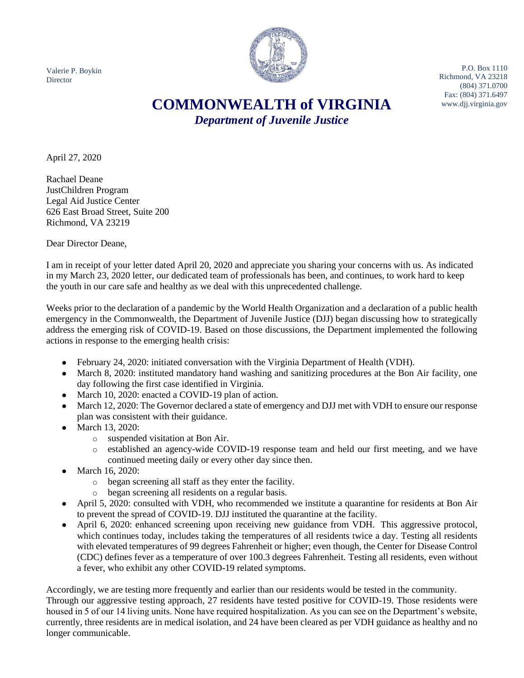Valerie P. Boykin Director



P.O. Box 1110 Richmond, VA 23218 (804) 371.0700 Fax: (804) 371.6497

# COMMONWEALTH of VIRGINIA www.dij.virginia.gov *Department of Juvenile Justice*

April 27, 2020

Rachael Deane JustChildren Program Legal Aid Justice Center 626 East Broad Street, Suite 200 Richmond, VA 23219

Dear Director Deane,

I am in receipt of your letter dated April 20, 2020 and appreciate you sharing your concerns with us. As indicated in my March 23, 2020 letter, our dedicated team of professionals has been, and continues, to work hard to keep the youth in our care safe and healthy as we deal with this unprecedented challenge.

Weeks prior to the declaration of a pandemic by the World Health Organization and a declaration of a public health emergency in the Commonwealth, the Department of Juvenile Justice (DJJ) began discussing how to strategically address the emerging risk of COVID-19. Based on those discussions, the Department implemented the following actions in response to the emerging health crisis:

- February 24, 2020: initiated conversation with the Virginia Department of Health (VDH).
- March 8, 2020: instituted mandatory hand washing and sanitizing procedures at the Bon Air facility, one day following the first case identified in Virginia.
- March 10, 2020: enacted a COVID-19 plan of action.
- March 12, 2020: The Governor declared a state of emergency and DJJ met with VDH to ensure our response plan was consistent with their guidance.
- March 13, 2020:
	- o suspended visitation at Bon Air.
	- o established an agency-wide COVID-19 response team and held our first meeting, and we have continued meeting daily or every other day since then.
- March 16, 2020:
	- o began screening all staff as they enter the facility.
	- o began screening all residents on a regular basis.
- April 5, 2020: consulted with VDH, who recommended we institute a quarantine for residents at Bon Air to prevent the spread of COVID-19. DJJ instituted the quarantine at the facility.
- April 6, 2020: enhanced screening upon receiving new guidance from VDH. This aggressive protocol, which continues today, includes taking the temperatures of all residents twice a day. Testing all residents with elevated temperatures of 99 degrees Fahrenheit or higher; even though, the Center for Disease Control (CDC) defines fever as a temperature of over 100.3 degrees Fahrenheit. Testing all residents, even without a fever, who exhibit any other COVID-19 related symptoms.

Accordingly, we are testing more frequently and earlier than our residents would be tested in the community. Through our aggressive testing approach, 27 residents have tested positive for COVID-19. Those residents were housed in 5 of our 14 living units. None have required hospitalization. As you can see on the Department's website, currently, three residents are in medical isolation, and 24 have been cleared as per VDH guidance as healthy and no longer communicable.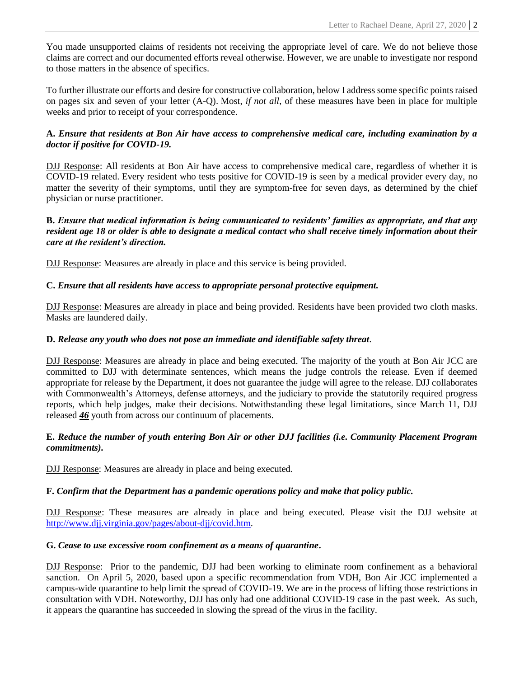You made unsupported claims of residents not receiving the appropriate level of care. We do not believe those claims are correct and our documented efforts reveal otherwise. However, we are unable to investigate nor respond to those matters in the absence of specifics.

To further illustrate our efforts and desire for constructive collaboration, below I address some specific points raised on pages six and seven of your letter (A-Q). Most, *if not all*, of these measures have been in place for multiple weeks and prior to receipt of your correspondence.

#### **A.** *Ensure that residents at Bon Air have access to comprehensive medical care, including examination by a doctor if positive for COVID-19.*

DJJ Response: All residents at Bon Air have access to comprehensive medical care, regardless of whether it is COVID-19 related. Every resident who tests positive for COVID-19 is seen by a medical provider every day, no matter the severity of their symptoms, until they are symptom-free for seven days, as determined by the chief physician or nurse practitioner.

## **B.** *Ensure that medical information is being communicated to residents' families as appropriate, and that any resident age 18 or older is able to designate a medical contact who shall receive timely information about their care at the resident's direction.*

DJJ Response: Measures are already in place and this service is being provided.

# **C.** *Ensure that all residents have access to appropriate personal protective equipment.*

DJJ Response: Measures are already in place and being provided. Residents have been provided two cloth masks. Masks are laundered daily.

#### **D.** *Release any youth who does not pose an immediate and identifiable safety threat.*

DJJ Response: Measures are already in place and being executed. The majority of the youth at Bon Air JCC are committed to DJJ with determinate sentences, which means the judge controls the release. Even if deemed appropriate for release by the Department, it does not guarantee the judge will agree to the release. DJJ collaborates with Commonwealth's Attorneys, defense attorneys, and the judiciary to provide the statutorily required progress reports, which help judges, make their decisions. Notwithstanding these legal limitations, since March 11, DJJ released *46* youth from across our continuum of placements.

## **E.** *Reduce the number of youth entering Bon Air or other DJJ facilities (i.e. Community Placement Program commitments).*

DJJ Response: Measures are already in place and being executed.

# **F.** *Confirm that the Department has a pandemic operations policy and make that policy public.*

DJJ Response: These measures are already in place and being executed. Please visit the DJJ website at [http://www.djj.virginia.gov/pages/about-djj/covid.htm.](http://www.djj.virginia.gov/pages/about-djj/covid.htm)

#### **G.** *Cease to use excessive room confinement as a means of quarantine***.**

DJJ Response: Prior to the pandemic, DJJ had been working to eliminate room confinement as a behavioral sanction. On April 5, 2020, based upon a specific recommendation from VDH, Bon Air JCC implemented a campus-wide quarantine to help limit the spread of COVID-19. We are in the process of lifting those restrictions in consultation with VDH. Noteworthy, DJJ has only had one additional COVID-19 case in the past week. As such, it appears the quarantine has succeeded in slowing the spread of the virus in the facility.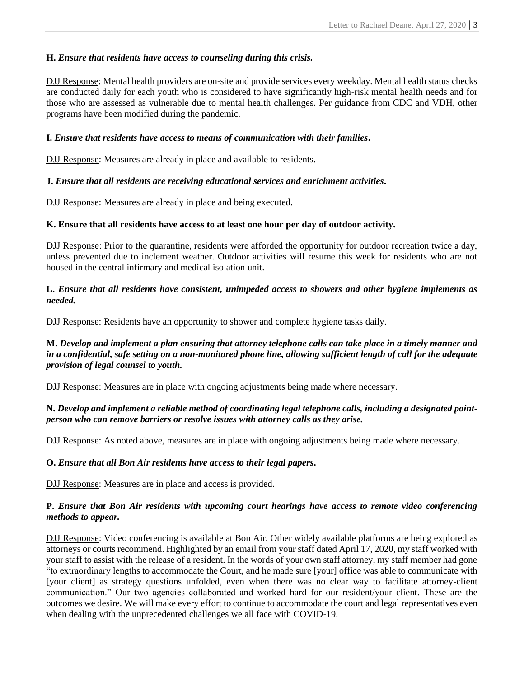# **H.** *Ensure that residents have access to counseling during this crisis.*

DJJ Response: Mental health providers are on-site and provide services every weekday. Mental health status checks are conducted daily for each youth who is considered to have significantly high-risk mental health needs and for those who are assessed as vulnerable due to mental health challenges. Per guidance from CDC and VDH, other programs have been modified during the pandemic.

## **I.** *Ensure that residents have access to means of communication with their families***.**

DJJ Response: Measures are already in place and available to residents.

# **J.** *Ensure that all residents are receiving educational services and enrichment activities***.**

DJJ Response: Measures are already in place and being executed.

## **K. Ensure that all residents have access to at least one hour per day of outdoor activity.**

DJJ Response: Prior to the quarantine, residents were afforded the opportunity for outdoor recreation twice a day, unless prevented due to inclement weather. Outdoor activities will resume this week for residents who are not housed in the central infirmary and medical isolation unit.

## **L.** *Ensure that all residents have consistent, unimpeded access to showers and other hygiene implements as needed.*

DJJ Response: Residents have an opportunity to shower and complete hygiene tasks daily.

## **M.** *Develop and implement a plan ensuring that attorney telephone calls can take place in a timely manner and in a confidential, safe setting on a non-monitored phone line, allowing sufficient length of call for the adequate provision of legal counsel to youth.*

DJJ Response: Measures are in place with ongoing adjustments being made where necessary.

## **N.** *Develop and implement a reliable method of coordinating legal telephone calls, including a designated pointperson who can remove barriers or resolve issues with attorney calls as they arise.*

DJJ Response: As noted above, measures are in place with ongoing adjustments being made where necessary.

# **O.** *Ensure that all Bon Air residents have access to their legal papers***.**

DJJ Response: Measures are in place and access is provided.

## **P.** *Ensure that Bon Air residents with upcoming court hearings have access to remote video conferencing methods to appear.*

DJJ Response: Video conferencing is available at Bon Air. Other widely available platforms are being explored as attorneys or courts recommend. Highlighted by an email from your staff dated April 17, 2020, my staff worked with your staff to assist with the release of a resident. In the words of your own staff attorney, my staff member had gone "to extraordinary lengths to accommodate the Court, and he made sure [your] office was able to communicate with [your client] as strategy questions unfolded, even when there was no clear way to facilitate attorney-client communication." Our two agencies collaborated and worked hard for our resident/your client. These are the outcomes we desire. We will make every effort to continue to accommodate the court and legal representatives even when dealing with the unprecedented challenges we all face with COVID-19.